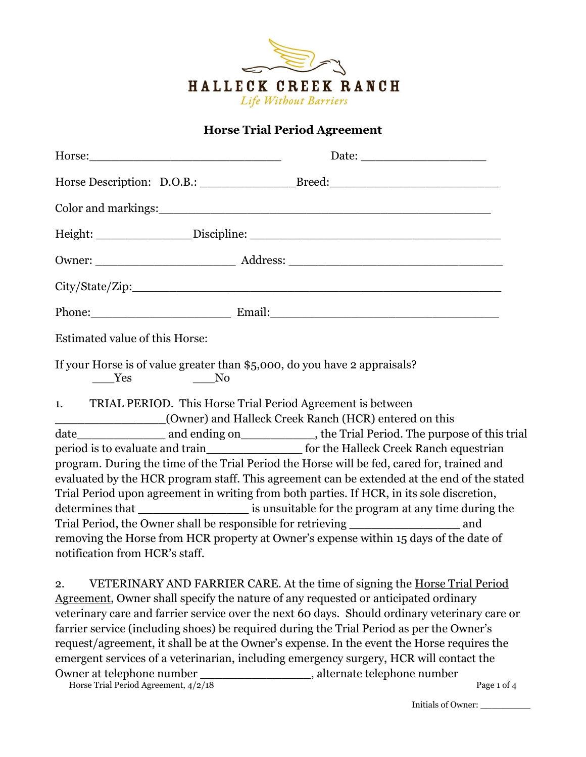

## **Horse Trial Period Agreement**

|                                                                                           | Phone: Email: Email: Email:                                                                    |
|-------------------------------------------------------------------------------------------|------------------------------------------------------------------------------------------------|
| Estimated value of this Horse:                                                            |                                                                                                |
| If your Horse is of value greater than \$5,000, do you have 2 appraisals?<br>No No<br>Yes |                                                                                                |
| 1. TRIAL PERIOD. This Horse Trial Period Agreement is between                             | (Owner) and Halleck Creek Ranch (HCR) entered on this                                          |
|                                                                                           |                                                                                                |
|                                                                                           | period is to evaluate and train________________________ for the Halleck Creek Ranch equestrian |
|                                                                                           | program. During the time of the Trial Period the Horse will be fed, cared for, trained and     |
|                                                                                           | evaluated by the HCR program staff. This agreement can be extended at the end of the stated    |
|                                                                                           | Trial Period upon agreement in writing from both parties. If HCR, in its sole discretion,      |
|                                                                                           | determines that ________________________ is unsuitable for the program at any time during the  |
|                                                                                           | Trial Period, the Owner shall be responsible for retrieving _____________________ and          |
|                                                                                           | removing the Horse from HCR property at Owner's expense within 15 days of the date of          |
| notification from HCR's staff.                                                            |                                                                                                |
| 2.                                                                                        | VETERINARY AND FARRIER CARE. At the time of signing the Horse Trial Period                     |
|                                                                                           | Agreement, Owner shall specify the nature of any requested or anticipated ordinary             |
|                                                                                           | veterinary care and farrier service over the next 60 days. Should ordinary veterinary care or  |
|                                                                                           | farrier service (including shoes) be required during the Trial Period as per the Owner's       |
|                                                                                           | request/agreement, it shall be at the Owner's expense. In the event the Horse requires the     |
|                                                                                           | emergent services of a veterinarian, including emergency surgery, HCR will contact the         |

Horse Trial Period Agreement,  $4/2/18$  Page 1 of 4 Owner at telephone number \_\_\_\_\_\_\_\_\_\_\_\_\_\_\_, alternate telephone number

Initials of Owner: \_\_\_\_\_\_\_\_\_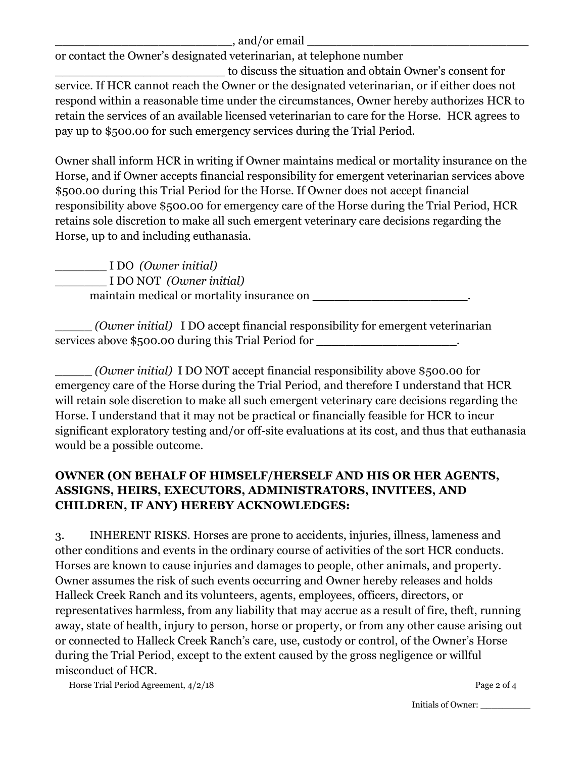## $\Box$ , and/or email  $\Box$

or contact the Owner's designated veterinarian, at telephone number

\_\_\_\_\_\_\_\_\_\_\_\_\_\_\_\_\_\_\_\_\_\_\_ to discuss the situation and obtain Owner's consent for service. If HCR cannot reach the Owner or the designated veterinarian, or if either does not respond within a reasonable time under the circumstances, Owner hereby authorizes HCR to retain the services of an available licensed veterinarian to care for the Horse. HCR agrees to pay up to \$500.00 for such emergency services during the Trial Period.

Owner shall inform HCR in writing if Owner maintains medical or mortality insurance on the Horse, and if Owner accepts financial responsibility for emergent veterinarian services above \$500.00 during this Trial Period for the Horse. If Owner does not accept financial responsibility above \$500.00 for emergency care of the Horse during the Trial Period, HCR retains sole discretion to make all such emergent veterinary care decisions regarding the Horse, up to and including euthanasia.

\_\_\_\_\_\_\_ I DO *(Owner initial)* \_\_\_\_\_\_\_ I DO NOT *(Owner initial)* maintain medical or mortality insurance on

\_\_\_\_\_ *(Owner initial)* I DO accept financial responsibility for emergent veterinarian services above \$500.00 during this Trial Period for \_\_\_\_\_\_\_\_\_\_\_\_\_\_\_\_\_\_\_\_\_\_\_\_\_\_\_\_

\_\_\_\_\_ *(Owner initial)* I DO NOT accept financial responsibility above \$500.00 for emergency care of the Horse during the Trial Period, and therefore I understand that HCR will retain sole discretion to make all such emergent veterinary care decisions regarding the Horse. I understand that it may not be practical or financially feasible for HCR to incur significant exploratory testing and/or off-site evaluations at its cost, and thus that euthanasia would be a possible outcome.

## **OWNER (ON BEHALF OF HIMSELF/HERSELF AND HIS OR HER AGENTS, ASSIGNS, HEIRS, EXECUTORS, ADMINISTRATORS, INVITEES, AND CHILDREN, IF ANY) HEREBY ACKNOWLEDGES:**

3. INHERENT RISKS. Horses are prone to accidents, injuries, illness, lameness and other conditions and events in the ordinary course of activities of the sort HCR conducts. Horses are known to cause injuries and damages to people, other animals, and property. Owner assumes the risk of such events occurring and Owner hereby releases and holds Halleck Creek Ranch and its volunteers, agents, employees, officers, directors, or representatives harmless, from any liability that may accrue as a result of fire, theft, running away, state of health, injury to person, horse or property, or from any other cause arising out or connected to Halleck Creek Ranch's care, use, custody or control, of the Owner's Horse during the Trial Period, except to the extent caused by the gross negligence or willful misconduct of HCR.

Horse Trial Period Agreement,  $4/2/18$  Page 2 of 4

Initials of Owner: \_\_\_\_\_\_\_\_\_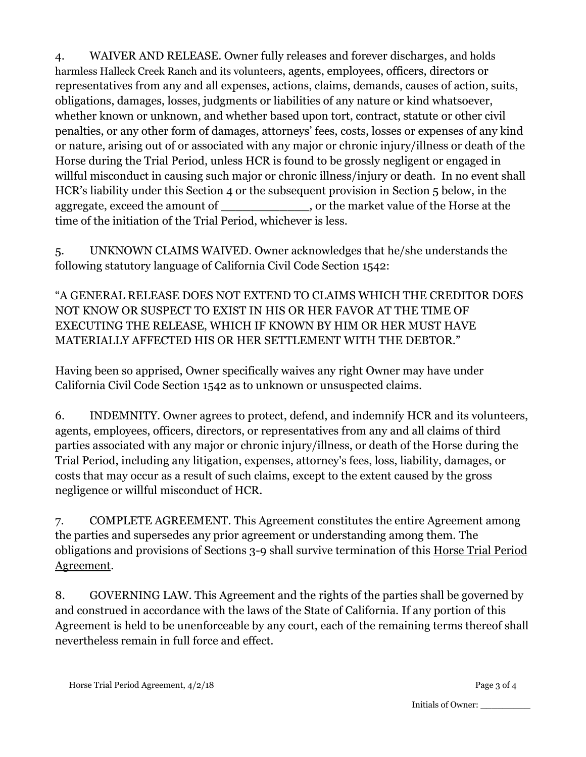4. WAIVER AND RELEASE. Owner fully releases and forever discharges, and holds harmless Halleck Creek Ranch and its volunteers, agents, employees, officers, directors or representatives from any and all expenses, actions, claims, demands, causes of action, suits, obligations, damages, losses, judgments or liabilities of any nature or kind whatsoever, whether known or unknown, and whether based upon tort, contract, statute or other civil penalties, or any other form of damages, attorneys' fees, costs, losses or expenses of any kind or nature, arising out of or associated with any major or chronic injury/illness or death of the Horse during the Trial Period, unless HCR is found to be grossly negligent or engaged in willful misconduct in causing such major or chronic illness/injury or death. In no event shall HCR's liability under this Section 4 or the subsequent provision in Section 5 below, in the aggregate, exceed the amount of \_\_\_\_\_\_\_\_\_\_\_\_, or the market value of the Horse at the time of the initiation of the Trial Period, whichever is less.

5. UNKNOWN CLAIMS WAIVED. Owner acknowledges that he/she understands the following statutory language of California Civil Code Section 1542:

"A GENERAL RELEASE DOES NOT EXTEND TO CLAIMS WHICH THE CREDITOR DOES NOT KNOW OR SUSPECT TO EXIST IN HIS OR HER FAVOR AT THE TIME OF EXECUTING THE RELEASE, WHICH IF KNOWN BY HIM OR HER MUST HAVE MATERIALLY AFFECTED HIS OR HER SETTLEMENT WITH THE DEBTOR."

Having been so apprised, Owner specifically waives any right Owner may have under California Civil Code Section 1542 as to unknown or unsuspected claims.

6. INDEMNITY. Owner agrees to protect, defend, and indemnify HCR and its volunteers, agents, employees, officers, directors, or representatives from any and all claims of third parties associated with any major or chronic injury/illness, or death of the Horse during the Trial Period, including any litigation, expenses, attorney's fees, loss, liability, damages, or costs that may occur as a result of such claims, except to the extent caused by the gross negligence or willful misconduct of HCR.

7. COMPLETE AGREEMENT. This Agreement constitutes the entire Agreement among the parties and supersedes any prior agreement or understanding among them. The obligations and provisions of Sections 3-9 shall survive termination of this Horse Trial Period Agreement.

8. GOVERNING LAW. This Agreement and the rights of the parties shall be governed by and construed in accordance with the laws of the State of California. If any portion of this Agreement is held to be unenforceable by any court, each of the remaining terms thereof shall nevertheless remain in full force and effect.

Initials of Owner: \_\_\_\_\_\_\_\_\_